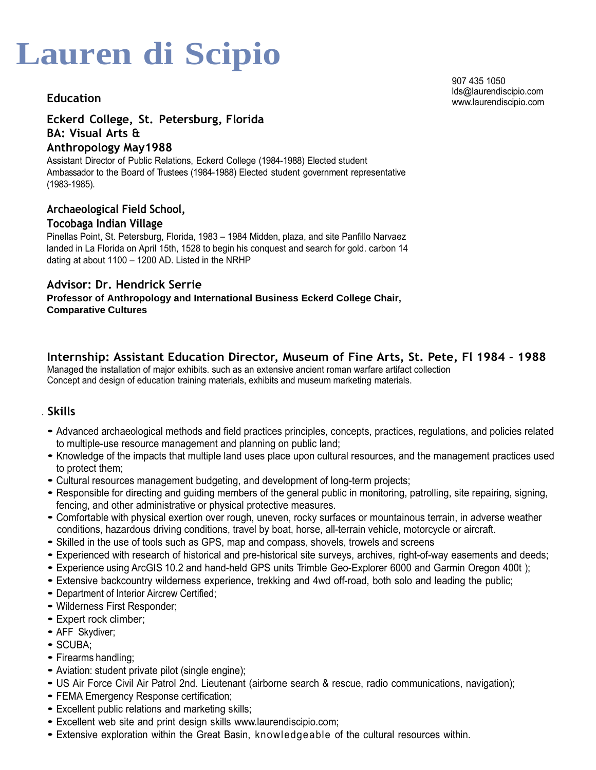## **Education**

### **Eckerd College, St. Petersburg, Florida BA: Visual Arts & Anthropology May1988**

Assistant Director of Public Relations, Eckerd College (1984-1988) Elected student Ambassador to the Board of Trustees (1984-1988) Elected student government representative (1983-1985).

### **Archaeological Field School,**

### **Tocobaga Indian Village**

Pinellas Point, St. Petersburg, Florida, 1983 – 1984 Midden, plaza, and site Panfillo Narvaez landed in La Florida on April 15th, 1528 to begin his conquest and search for gold. carbon 14 dating at about 1100 – 1200 AD. Listed in the NRHP

### **Advisor: Dr. Hendrick Serrie**

**Professor of Anthropology and International Business Eckerd College Chair, Comparative Cultures** 

### **Internship: Assistant Education Director, Museum of Fine Arts, St. Pete, Fl 1984 - 1988**

Managed the installation of major exhibits. such as an extensive ancient roman warfare artifact collection Concept and design of education training materials, exhibits and museum marketing materials.

### . **Skills**

- Advanced archaeological methods and field practices principles, concepts, practices, regulations, and policies related to multiple-use resource management and planning on public land;
- Knowledge of the impacts that multiple land uses place upon cultural resources, and the management practices used to protect them;
- Cultural resources management budgeting, and development of long-term projects;
- Responsible for directing and guiding members of the general public in monitoring, patrolling, site repairing, signing, fencing, and other administrative or physical protective measures.
- Comfortable with physical exertion over rough, uneven, rocky surfaces or mountainous terrain, in adverse weather conditions, hazardous driving conditions, travel by boat, horse, all-terrain vehicle, motorcycle or aircraft.
- Skilled in the use of tools such as GPS, map and compass, shovels, trowels and screens
- Experienced with research of historical and pre-historical site surveys, archives, right-of-way easements and deeds;
- Experience using ArcGIS 10.2 and hand-held GPS units Trimble Geo-Explorer 6000 and Garmin Oregon 400t );
- Extensive backcountry wilderness experience, trekking and 4wd off-road, both solo and leading the public;
- Department of Interior Aircrew Certified;
- Wilderness First Responder;
- Expert rock climber;
- AFF Skydiver;
- SCUBA;
- Firearms handling;
- Aviation: student private pilot (single engine);
- US Air Force Civil Air Patrol 2nd. Lieutenant (airborne search & rescue, radio communications, navigation);
- FEMA Emergency Response certification;
- Excellent public relations and marketing skills;
- Excellent web site and print design skills www.laurendiscipio.com;
- Extensive exploration within the Great Basin, knowledgeable of the cultural resources within.

[907 435 1050](mailto:lds@laurendiscipio.com) lds@laurendiscipio.com www.laurendiscipio.com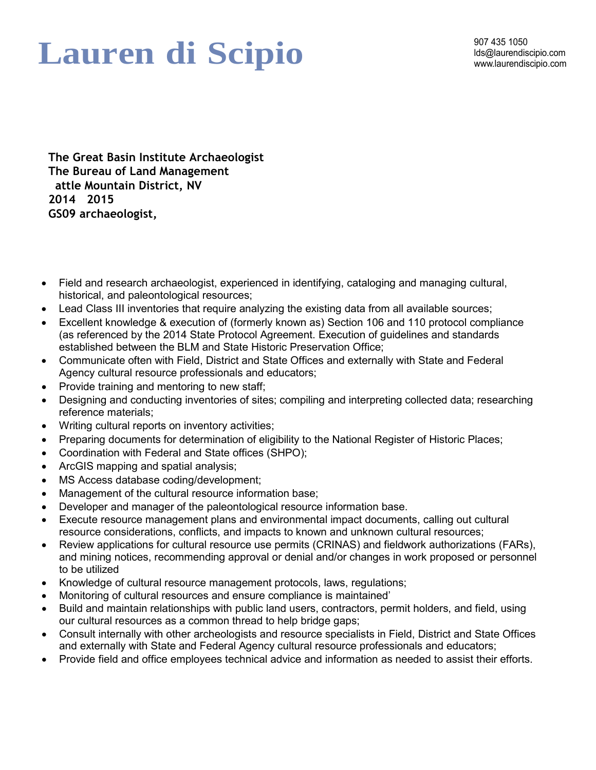## Lauren di Scipio **Magnet Alimeter discripio.com**

**The Great Basin Institute Archaeologist The Bureau of Land Management attle Mountain District, NV 2014 - 2015 GS09 archaeologist, archivist, field tech**

- Field and research archaeologist, experienced in identifying, cataloging and managing cultural, historical, and paleontological resources;
- Lead Class III inventories that require analyzing the existing data from all available sources;
- Excellent knowledge & execution of (formerly known as) Section 106 and 110 protocol compliance (as referenced by the 2014 State Protocol Agreement. Execution of guidelines and standards established between the BLM and State Historic Preservation Office;
- Communicate often with Field, District and State Offices and externally with State and Federal Agency cultural resource professionals and educators;
- Provide training and mentoring to new staff;
- Designing and conducting inventories of sites; compiling and interpreting collected data; researching reference materials;
- Writing cultural reports on inventory activities;
- Preparing documents for determination of eligibility to the National Register of Historic Places;
- Coordination with Federal and State offices (SHPO);
- ArcGIS mapping and spatial analysis;
- MS Access database coding/development;
- Management of the cultural resource information base;
- Developer and manager of the paleontological resource information base.
- Execute resource management plans and environmental impact documents, calling out cultural resource considerations, conflicts, and impacts to known and unknown cultural resources;
- Review applications for cultural resource use permits (CRINAS) and fieldwork authorizations (FARs), and mining notices, recommending approval or denial and/or changes in work proposed or personnel to be utilized
- Knowledge of cultural resource management protocols, laws, regulations;
- Monitoring of cultural resources and ensure compliance is maintained'
- Build and maintain relationships with public land users, contractors, permit holders, and field, using our cultural resources as a common thread to help bridge gaps;
- Consult internally with other archeologists and resource specialists in Field, District and State Offices and externally with State and Federal Agency cultural resource professionals and educators;
- Provide field and office employees technical advice and information as needed to assist their efforts.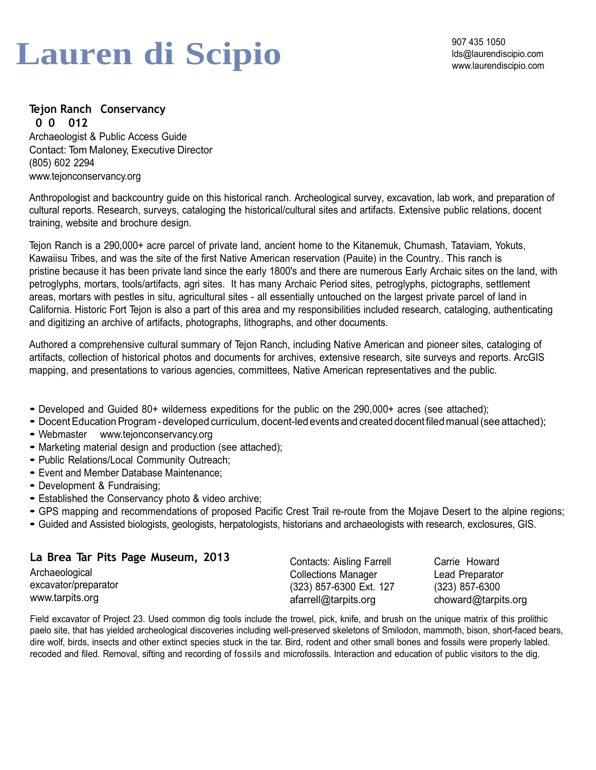# Lauren di Scipio<br>
Manufaurendiscipio.com

907 435 1050

## **Tejon Ranch Conservancy**

**2010 -2012**  Archaeologist & Public Access Guide Contact: Tom Maloney, Executive Director (805) 602 2294 [www.tejonconservancy.org](http://www.tejonconservancy.org/)

Anthropologist and backcountry guide on this historical ranch. Archeological survey, excavation, lab work, and preparation of cultural reports. Research, surveys, cataloging the historical/cultural sites and artifacts. Extensive public relations, docent training, website and brochure design.

Tejon Ranch is a 290,000+ acre parcel of private land, ancient home to the Kitanemuk, Chumash, Tataviam, Yokuts, Kawaiisu Tribes, and was the site of the first Native American reservation (Pauite) in the Country.. This ranch is pristine because it has been private land since the early 1800's and there are numerous Early Archaic sites on the land, with petroglyphs, mortars, tools/artifacts, agri sites. It has many Archaic Period sites, petroglyphs, pictographs, settlement areas, mortars with pestles in situ, agricultural sites - all essentially untouched on the largest private parcel of land in California. Historic Fort Tejon is also a part of this area and my responsibilities included research, cataloging, authenticating and digitizing an archive of artifacts, photographs, lithographs, and other documents.

Authored a comprehensive cultural summary of Tejon Ranch, including Native American and pioneer sites, cataloging of artifacts, collection of historical photos and documents for archives, extensive research, site surveys and reports. ArcGIS mapping, and presentations to various agencies, committees, Native American representatives and the public.

- Developed and Guided 80+ wilderness expeditions for the public on the 290,000+ acres (see attached);
- Docent Educ[ation Program developed c](http://www.tejonconservancy.org/)urriculum, docent-led events and created docent filed manual (see attached);
- Webmaster www.tejonconservancy.org
- Marketing material design and production (see attached);
- Public Relations/Local Community Outreach;
- Event and Member Database Maintenance;
- Development & Fundraising;
- Established the Conservancy photo & video archive;
- GPS mapping and recommendations of proposed Pacific Crest Trail re-route from the Mojave Desert to the alpine regions;
- Guided and Assisted biologists, geologists, herpatologists, historians and archaeologists with research, exclosures, GIS.

| La Brea Tar Pits Page Museum, 2013 | <b>Contacts: Aisling Farrell</b> | Carrie Howard       |
|------------------------------------|----------------------------------|---------------------|
| Archaeological                     | <b>Collections Manager</b>       | Lead Preparator     |
| excavator/preparator               | (323) 857-6300 Ext. 127          | (323) 857-6300      |
| www.tarpits.org                    | afarrell@tarpits.org             | choward@tarpits.org |

Field excavator of Project 23. Used common dig tools include the trowel, pick, knife, and brush on the unique matrix of this prolithic paelo site, that has yielded archeological discoveries including well-preserved skeletons of Smilodon, mammoth, bison, short-faced bears, dire wolf, birds, insects and other extinct species stuck in the tar. Bird, rodent and other small bones and fossils were properly labled. recoded and filed. Removal, sifting and recording of fossils and microfossils. Interaction and education of public visitors to the dig.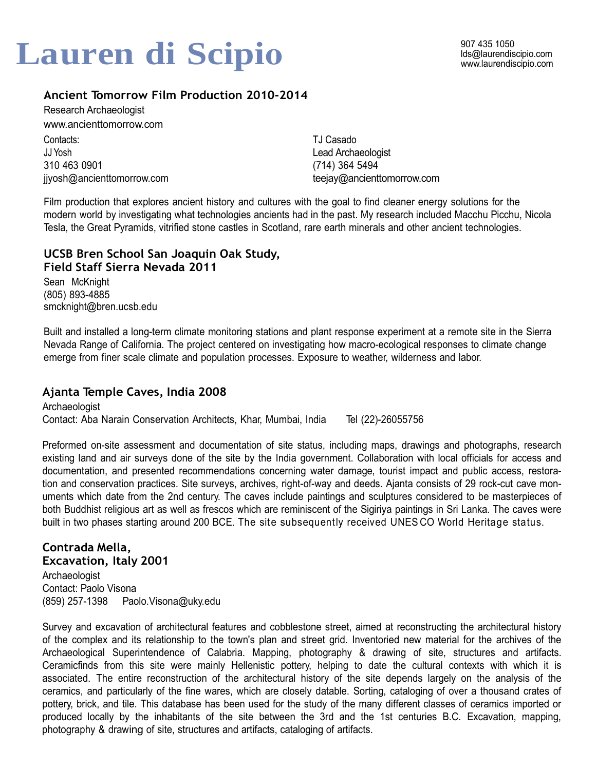## lds@laurendiscipio.com **Lauren di Scipio** www.laurendiscipio.com

## **Ancient Tomorrow Film Production 2010-2014**

Research Archaeologist [www.ancienttomorrow.com](http://www.ancienttomorrow.com/)

Contacts: JJ Yosh 310 463 0901 jiyosh@ancienttomorrow.com

TJ Casado Lead Archaeologist (714) 364 5494 [teejay@ancienttomorrow.com](mailto:teejay@ancienttomorrow.com)

Film production that explores ancient history and cultures with the goal to find cleaner energy solutions for the modern world by investigating what technologies ancients had in the past. My research included Macchu Picchu, Nicola Tesla, the Great Pyramids, vitrified stone castles in Scotland, rare earth minerals and other ancient technologies.

### **UCSB Bren School San Joaquin Oak Study, Field Staff Sierra Nevada 2011**

Sean McKnight (805) 893-4885 [smcknight@bren.ucsb.edu](mailto:smcknight@bren.ucsb.edu)

Built and installed a long-term climate monitoring stations and plant response experiment at a remote site in the Sierra Nevada Range of California. The project centered on investigating how macro-ecological responses to climate change emerge from finer scale climate and population processes. Exposure to weather, wilderness and labor.

## **Ajanta Temple Caves, India 2008**

Archaeologist Contact: Aba Narain Conservation Architects, Khar, Mumbai, India Tel (22)-26055756

Preformed on-site assessment and documentation of site status, including maps, drawings and photographs, research existing land and air surveys done of the site by the India government. Collaboration with local officials for access and documentation, and presented recommendations concerning water damage, tourist impact and public access, restoration and conservation practices. Site surveys, archives, right-of-way and deeds. Ajanta consists of 29 rock-cut cave monuments which date from the 2nd century. The caves include paintings and sculptures considered to be masterpieces of both Buddhist religious art as well as frescos which are reminiscent of the Sigiriya paintings in Sri Lanka. The caves were built in two phases starting around 200 BCE. The site subsequently received UNES CO World Heritage status.

## **Contrada Mella,**

**Excavation, Italy 2001** Archaeologist Contact: Paolo Visona (859) 257-1398 [Paolo.Visona@uky.edu](mailto:Paolo.Visona@uky.edu)

Survey and excavation of architectural features and cobblestone street, aimed at reconstructing the architectural history of the complex and its relationship to the town's plan and street grid. Inventoried new material for the archives of the Archaeological Superintendence of Calabria. Mapping, photography & drawing of site, structures and artifacts. Ceramicfinds from this site were mainly Hellenistic pottery, helping to date the cultural contexts with which it is associated. The entire reconstruction of the architectural history of the site depends largely on the analysis of the ceramics, and particularly of the fine wares, which are closely datable. Sorting, cataloging of over a thousand crates of pottery, brick, and tile. This database has been used for the study of the many different classes of ceramics imported or produced locally by the inhabitants of the site between the 3rd and the 1st centuries B.C. Excavation, mapping, photography & drawing of site, structures and artifacts, cataloging of artifacts.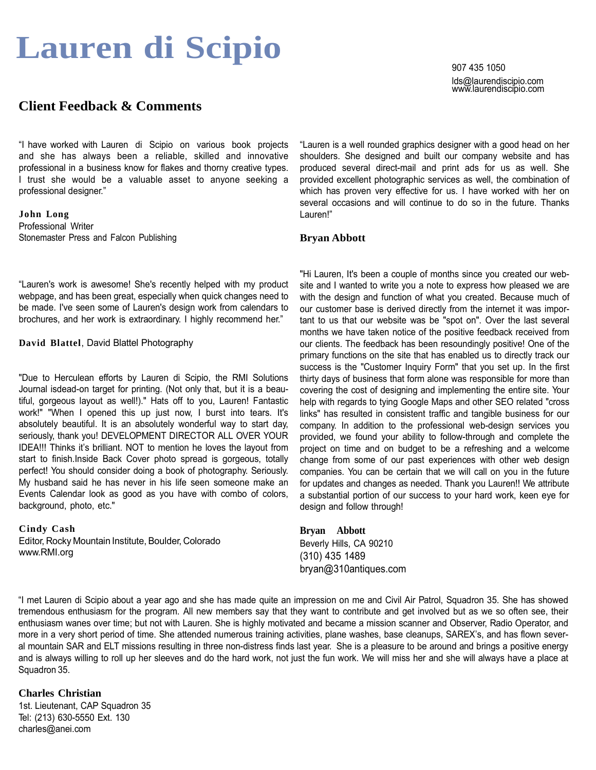## **Client Feedback & Comments**

"I have worked with Lauren di Scipio on various book projects and she has always been a reliable, skilled and innovative professional in a business know for flakes and thorny creative types. I trust she would be a valuable asset to anyone seeking a professional designer."

**Jo hn Long** Professional Writer Stonemaster Press and Falcon Publishing

"Lauren's work is awesome! She's recently helped with my product webpage, and has been great, especially when quick changes need to be made. I've seen some of Lauren's design work from calendars to brochures, and her work is extraordinary. I highly recommend her."

**David Blattel, David Blattel Photography** 

"Due to Herculean efforts by Lauren di Scipio, the RMI Solutions Journal isdead-on target for printing. (Not only that, but it is a beautiful, gorgeous layout as well!)." Hats off to you, Lauren! Fantastic work!" "When I opened this up just now, I burst into tears. It's absolutely beautiful. It is an absolutely wonderful way to start day, seriously, thank you! DEVELOPMENT DIRECTOR ALL OVER YOUR IDEA!!! Thinks it's brilliant. NOT to mention he loves the layout from start to finish.Inside Back Cover photo spread is gorgeous, totally perfect! You should consider doing a book of photography. Seriously. My husband said he has never in his life seen someone make an Events Calendar look as good as you have with combo of colors, background, photo, etc."

**Cindy Cash** Editor, Rocky Mountain Institute, Boulder, Colorado [www.RMI.org](http://www.rmi.org/)

907 435 1050 lds@laurendiscipio.com www.laurendiscipio.com

"Lauren is a well rounded graphics designer with a good head on her shoulders. She designed and built our company website and has produced several direct-mail and print ads for us as well. She provided excellent photographic services as well, the combination of which has proven very effective for us. I have worked with her on several occasions and will continue to do so in the future. Thanks Lauren!"

#### **Bryan Abbott**

"Hi Lauren, It's been a couple of months since you created our website and I wanted to write you a note to express how pleased we are with the design and function of what you created. Because much of our customer base is derived directly from the internet it was important to us that our website was be "spot on". Over the last several months we have taken notice of the positive feedback received from our clients. The feedback has been resoundingly positive! One of the primary functions on the site that has enabled us to directly track our success is the "Customer Inquiry Form" that you set up. In the first thirty days of business that form alone was responsible for more than covering the cost of designing and implementing the entire site. Your help with regards to tying Google Maps and other SEO related "cross links" has resulted in consistent traffic and tangible business for our company. In addition to the professional web-design services you provided, we found your ability to follow-through and complete the project on time and on budget to be a refreshing and a welcome change from some of our past experiences with other web design companies. You can be certain that we will call on you in the future for updates and changes as needed. Thank you Lauren!! We attribute a substantial portion of our success to your hard work, keen eye for design and follow through!

**Bryan Abbott** Beverly Hills, CA 90210 (310) 435 1489 [bryan@310antiques.com](mailto:bryan@310antiques.com)

"I met Lauren di Scipio about a year ago and she has made quite an impression on me and Civil Air Patrol, Squadron 35. She has showed tremendous enthusiasm for the program. All new members say that they want to contribute and get involved but as we so often see, their enthusiasm wanes over time; but not with Lauren. She is highly motivated and became a mission scanner and Observer, Radio Operator, and more in a very short period of time. She attended numerous training activities, plane washes, base cleanups, SAREX's, and has flown several mountain SAR and ELT missions resulting in three non-distress finds last year. She is a pleasure to be around and brings a positive energy and is always willing to roll up her sleeves and do the hard work, not just the fun work. We will miss her and she will always have a place at Squadron 35.

#### **Charles Christian**

1st. Lieutenant, CAP Squadron 35 Tel: (213) 630-5550 Ext. 130 [charles@anei.com](mailto:charles@anei.com)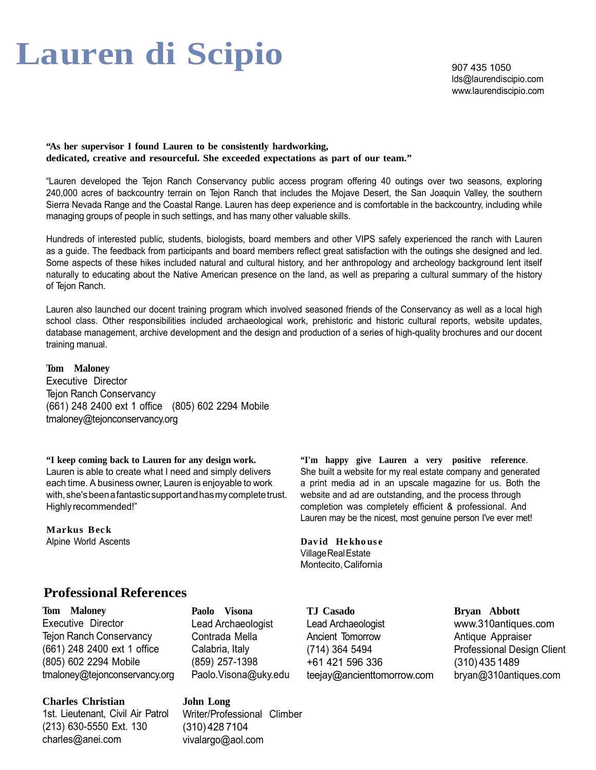907 435 1050 lds@laurendiscipio.com www.laurendiscipio.com

**"As her supervisor I found Lauren to be consistently hardworking, dedicated, creative and resourceful. She exceeded expectations as part of our team."**

"Lauren developed the Tejon Ranch Conservancy public access program offering 40 outings over two seasons, exploring 240,000 acres of backcountry terrain on Tejon Ranch that includes the Mojave Desert, the San Joaquin Valley, the southern Sierra Nevada Range and the Coastal Range. Lauren has deep experience and is comfortable in the backcountry, including while managing groups of people in such settings, and has many other valuable skills.

Hundreds of interested public, students, biologists, board members and other VIPS safely experienced the ranch with Lauren as a guide. The feedback from participants and board members reflect great satisfaction with the outings she designed and led. Some aspects of these hikes included natural and cultural history, and her anthropology and archeology background lent itself naturally to educating about the Native American presence on the land, as well as preparing a cultural summary of the history of Tejon Ranch.

Lauren also launched our docent training program which involved seasoned friends of the Conservancy as well as a local high school class. Other responsibilities included archaeological work, prehistoric and historic cultural reports, website updates, database management, archive development and the design and production of a series of high-quality brochures and our docent training manual.

**Tom Maloney**  Executive Director Tejon Ranch Conservancy (661) 248 2400 ext 1 office (805) 602 2294 Mobile [tmaloney@tejonconservancy.org](mailto:tmaloney@tejonconservancy.org)

**"I keep coming back to Lauren for any design work.**  Lauren is able to create what I need and simply delivers each time. A business owner, Lauren is enjoyable to work with, she's been a fantastic support and has my complete trust. Highly recommended!"

**Mar kus B ec k** Alpine World Ascents **"I'm happy give Lauren a very positive reference**. She built a website for my real estate company and generated a print media ad in an upscale magazine for us. Both the website and ad are outstanding, and the process through completion was completely efficient & professional. And Lauren may be the nicest, most genuine person I've ever met!

**Dav id He kho us e** Village Real Estate Montecito, California

## **Professional References**

**Tom Maloney**  Executive Director Tejon Ranch Conservancy (661) 248 2400 ext 1 office (805) 602 2294 Mobile [tmaloney@tejonconservancy.org](mailto:tmaloney@tejonconservancy.org)

**Charles Christian** 1st. Lieutenant, Civil Air Patrol (213) 630-5550 Ext. 130 [charles@anei.com](mailto:charles@anei.com)

**Paolo Visona** Lead Archaeologist Contrada Mella Calabria, Italy (859) 257-1398 [Paolo.Visona@uky.edu](mailto:Paolo.Visona@uky.edu)

**John Long** Writer/Professional Climber (310) 428 7104 [vivalargo@aol.com](mailto:vivalargo@aol.com)

**TJ Casado** Lead Archaeologist Ancient Tomorrow (714) 364 5494 +61 421 596 336 [teejay@ancienttomorrow.com](mailto:teejay@ancienttomorrow.com) **Bryan Abbott** [www.310antiques.com](http://www.310antiques.com/) Antique Appraiser Professional Design Client (310) 435 1489 [bryan@310antiques.com](mailto:bryan@310antiques.com)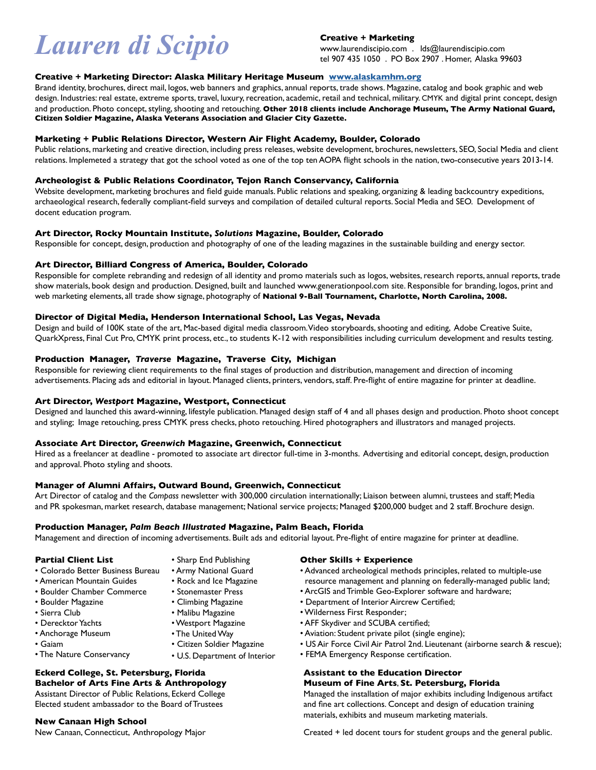## $L$ *auren* di Scipio<br>  $L$ aurendiscipio.com . Ids@laurendiscipio.com<br>  $\frac{1}{2}$  (907 435 1050 . PO Box 2907 . Homer, Alaska 99603

#### **Creative + Marketing**

#### **Creative + Marketing Director: Alaska Military Heritage Museum [www.alaskamhm.org](http://www.alaskamhm.org)**

Brand identity, brochures, direct mail, logos, web banners and graphics, annual reports, trade shows. Magazine, catalog and book graphic and web design. Industries: real estate, extreme sports, travel, luxury, recreation, academic, retail and technical, military. CMYK and digital print concept, design and production. Photo concept, styling, shooting and retouching. **Other 2018 clients include Anchorage Museum, The Army National Guard, Citizen Soldier Magazine, Alaska Veterans Association and Glacier City Gazette.**

#### **Marketing + Public Relations Director, Western Air Flight Academy, Boulder, Colorado**

Public relations, marketing and creative direction, including press releases, website development, brochures, newsletters, SEO, Social Media and client relations. Implemeted a strategy that got the school voted as one of the top ten AOPA flight schools in the nation, two-consecutive years 2013-14.

#### **Archeologist & Public Relations Coordinator, Tejon Ranch Conservancy, California**

Website development, marketing brochures and field guide manuals. Public relations and speaking, organizing & leading backcountry expeditions, archaeological research, federally compliant-field surveys and compilation of detailed cultural reports. Social Media and SEO. Development of docent education program.

#### **Art Director, Rocky Mountain Institute,** *Solutions* **Magazine, Boulder, Colorado**

Responsible for concept, design, production and photography of one of the leading magazines in the sustainable building and energy sector.

#### **Art Director, Billiard Congress of America, Boulder, Colorado**

Responsible for complete rebranding and redesign of all identity and promo materials such as logos, websites, research reports, annual reports, trade show materials, book design and production. Designed, built and launched <www.generationpool.com>site. Responsible for branding, logos, print and web marketing elements, all trade show signage, photography of **National 9-Ball Tournament, Charlotte, North Carolina, 2008.**

#### **Director of Digital Media, Henderson International School, Las Vegas, Nevada**

Design and build of 100K state of the art, Mac-based digital media classroom. Video storyboards, shooting and editing, Adobe Creative Suite, QuarkXpress, Final Cut Pro, CMYK print process, etc., to students K-12 with responsibilities including curriculum development and results testing.

#### **Production Manager,** *Traverse* **Magazine, Traverse City, Michigan**

Responsible for reviewing client requirements to the final stages of production and distribution, management and direction of incoming advertisements. Placing ads and editorial in layout. Managed clients, printers, vendors, staff. Pre-flight of entire magazine for printer at deadline.

#### **Art Director,** *Westport* **Magazine, Westport, Connecticut**

Designed and launched this award-winning, lifestyle publication. Managed design staff of 4 and all phases design and production. Photo shoot concept and styling; Image retouching, press CMYK press checks, photo retouching. Hired photographers and illustrators and managed projects.

#### **Associate Art Director,** *Greenwich* **Magazine, Greenwich, Connecticut**

Hired as a freelancer at deadline - promoted to associate art director full-time in 3-months. Advertising and editorial concept, design, production and approval. Photo styling and shoots.

#### **Manager of Alumni Affairs, Outward Bound, Greenwich, Connecticut**

Art Director of catalog and the *Compass* newsletter with 300,000 circulation internationally; Liaison between alumni, trustees and staff; Media and PR spokesman, market research, database management; National service projects; Managed \$200,000 budget and 2 staff. Brochure design.

#### **Production Manager,** *Palm Beach Illustrated* **Magazine, Palm Beach, Florida**

Management and direction of incoming advertisements. Built ads and editorial layout. Pre-flight of entire magazine for printer at deadline.

#### **Partial Client List**

- Colorado Better Business Bureau
- American Mountain Guides
- Boulder Chamber Commerce
- Boulder Magazine
- Sierra Club
- Derecktor Yachts
- Anchorage Museum
- Gaiam
- Sharp End Publishing • Army National Guard
- Rock and Ice Magazine
- Stonemaster Press
- Climbing Magazine
- 
- 
- 
- 
- **Eckerd College, St. Petersburg, Florida Bachelor of Arts Fine Arts & Anthropology**

Assistant Director of Public Relations, Eckerd College Elected student ambassador to the Board of Trustees

#### **New Canaan High School**

New Canaan, Connecticut, Anthropology Major

#### **Other Skills + Experience**

- Advanced archeological methods principles, related to multiple-use resource management and planning on federally-managed public land;
- ArcGIS and Trimble Geo-Explorer software and hardware;
- Department of Interior Aircrew Certified;
- Wilderness First Responder;
- AFF Skydiver and SCUBA certified;
- Aviation: Student private pilot (single engine);
- US Air Force Civil Air Patrol 2nd. Lieutenant (airborne search & rescue);
- FEMA Emergency Response certification.

#### **Assistant to the Education Director Museum of Fine Arts**, **St. Petersburg, Florida**

Managed the installation of major exhibits including Indigenous artifact and fine art collections. Concept and design of education training materials, exhibits and museum marketing materials.

Created + led docent tours for student groups and the general public.

- The United Way • Citizen Soldier Magazine
- The Nature Conservancy
- U.S. Department of Interior
- Malibu Magazine • Westport Magazine